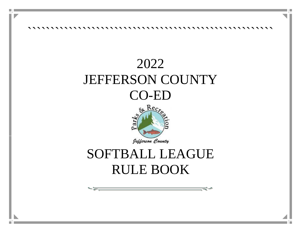

Ī

# 2022 JEFFERSON COUNTY CO-ED



# SOFTBALL LEAGUE RULE BOOK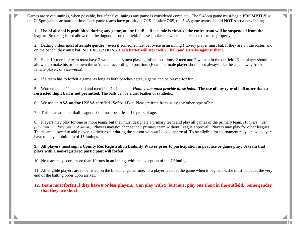Games are seven innings, when possible, but after five innings any game is considered complete. The 5:45pm game must begin **PROMPTLY** so the 7:15pm game can start on time. Late-game teams have priority at 7:15. If after 7:05, the 5:45 game teams should **NOT** start a new inning.

1. **Use of alcohol is prohibited during any game, at any field!** If this rule is violated, **the entire team will be suspended from the league.** Smoking is not allowed in the dugout, or on the field. Please smoke elsewhere and dispose of waste properly.

2. Batting orders must **alternate gender**, (even if someone must bat twice in an inning.) Every player must bat. If they are on the roster, and on the bench, they must bat. **NO EXCEPTIONS. Each batter will start with 1 ball and 1 strike against them.**

3. Each 10-member team must have 3 women and 3 men playing infield positions: 2 men and 2 women in the outfield. Each player should be allowed to make his or her own throw/catcher according to position. (Example: male player should not always take the catch away from female player, or vice-versa).

4. If a team has to forfeit a game, as long as both coaches agree, a game can be played for fun.

5. Women hit an 11-inch ball and men hit a 12-inch ball. *Home team must provide these balls.* **The use of any type of ball other than a restricted flight ball is not permitted.** The balls can be either leather or synthetic.

6. We use an **ASA and/or USSSA** certified "Softball Bat" Please refrain from using any other type of bat.

7. This is an adult softball league. You must be at least 18 years of age.

8. Players may play for one or more teams but they must designate a primary team and play all games of the primary team. *(Players must play "up" in divisions, not down.)* Players may not change their primary team without League approval. Players may play for other leagues. Teams are allowed to add players to their roster during the season without League approval. To be eligible for tournament play, "new" players have to play a minimum of 15 innings.

### **9. All players must sign a County Rec Registration Liability Waiver prior to participation in practice or game play. A team that plays with a non-registered participant will forfeit.**

10. No team may score more than 10 runs in an inning, with the exception of the  $7<sup>th</sup>$  inning.

11. All eligible players are to be listed on the lineup at game time. If a player is not at the game when it begins, he/she must be put at the very end of the batting order upon arrival.

### **12. Team must forfeit if they have 8 or less players. Can play with 9, but must play one short in the outfield. Same gender that they are short**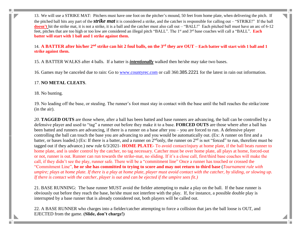13. We will use a STRIKE MAT: Pitchers must have one foot on the pitcher's mound, 50 feet from home plate, when delivering the pitch. If the pitched ball hits any part of the *strike mat* it is considered a strike, and the catcher is responsible for calling out – "STRIKE!" If the ball doesn't hit the strike mat, it is not a strike, it is a ball and the catcher must also call out – "BALL!" Each pitched ball must have an arc of 6-12 feet, pitches that are too high or too low are considered an illegal pitch "BALL". The 1<sup>st</sup> and 3<sup>rd</sup> base coaches will call a "BALL". **Each batter will start with 1 ball and 1 strike against them.**

14. **A BATTER after his/her 2nd strike can hit 2 foul balls, on the 3rd they are OUT – Each batter will start with 1 ball and 1 strike against them.**

15. A BATTER WALKS after 4 balls. If a batter is *intentionally* walked then he/she may take two bases.

16. Games may be canceled due to rain: Go to [www.countyrec.com](http://www.countyrec.com/) or call 360.385.2221 for the latest in rain out information.

## 17. **NO METAL CLEATS**.

18. No bunting.

19. No leading off the base, or stealing. The runner's foot must stay in contact with the base until the ball reaches the strike/zone (in the air).

*20.* **TAGGED OUTS** are those where, after a ball has been batted and base runners are advancing, the ball can be controlled by a defensive player and used to "tag" a runner out before they make it to a base. **FORCED OUTS** are those where after a ball has been batted and runners are advancing, if there is a runner on a base after you – you are forced to run. A defensive player controlling the ball can touch the base you are advancing to and you would be automatically out. (Ex: A runner on first and a batter, or bases loaded.) (Ex: If there is a batter, and a runner on  $2^{nd}$ only, the runner on  $2^{nd}$  is not "forced" to run, therefore must be tagged out if they advance.) new rule 6/3/2021- **HOME PLATE-** To avoid contact/injury at home plate, if the ball beats runner to home plate, and is under control by the catcher, no tag necessary. Catcher must be over home plate, all plays at home, forced-out or not, runner is out. Runner can run towards the strike-mat, no sliding. If it's a close call, first/third base coaches will make the call, if they didn't see the play, runner safe. There will be a "commitment line" Once a runner has touched or crossed the "Commitment Line", **he or she has committed to trying to score and may not return to third base** (*Tournament rule with umpire; plays at home plate. If there is a play at home plate, player must avoid contact with the catcher, by sliding, or slowing up. If there is contact with the catcher, player is out and can be ejected if the umpire sees fit.)*

21. BASE RUNNING: The base runner MUST avoid the fielder attempting to make a play on the ball. If the base runner is obviously out before they reach the base, he/she must not interfere with the play. If, for instance, a possible double play is interrupted by a base runner that is already considered out, both players will be called out.

22. A BASE RUNNER who charges into a fielder/catcher attempting to force a collision that jars the ball loose is OUT, and EJECTED from the game. **(Slide, don't charge!)**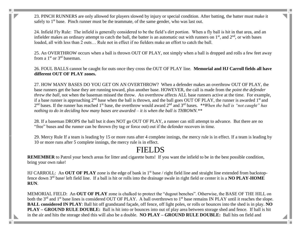23. PINCH RUNNERS are only allowed for players slowed by injury or special condition. After batting, the batter must make it safely to  $1<sup>st</sup>$  base. Pinch runner must be the teammate, of the same gender, who was last out.

24. Infield Fly Rule: The infield is generally considered to be the field's dirt portion. When a fly ball is hit in that area, and an infielder makes an ordinary attempt to catch the ball, the batter is an automatic out with runners on  $1<sup>st</sup>$ , and  $2<sup>nd</sup>$ , or with bases loaded, all with less than 2 outs… Rule not in effect if no fielders make an effort to catch the ball.

25. An OVERTHROW occurs when a ball is thrown OUT OF PLAY, not simply when a ball is dropped and rolls a few feet away from a  $1<sup>st</sup>$  or  $3<sup>rd</sup>$  baseman.

26. FOUL BALLS cannot be caught for outs once they cross the OUT OF PLAY line. **Memorial and HJ Carroll fields all have different OUT OF PLAY zones.**

27. HOW MANY BASES DO YOU GET ON AN OVERTHROW? When a defender makes an overthrow OUT OF PLAY, the base runners get the base they are running toward, plus another base. HOWEVER, the call is made from the *point the defender threw the ball*, not when the baseman missed the throw. An overthrow affects ALL base runners active at the time. For example, if a base runner is approaching  $2^{nd}$  base when the ball is thrown, and the ball goes OUT OF PLAY, the runner is awarded  $1<sup>st</sup>$  and 2<sup>nd</sup> bases. If the runner has reached 1<sup>st</sup> base, the overthrow would award 2<sup>nd</sup> and 3<sup>rd</sup> bases. *\*\*When the ball is "not caught" has nothing to do in deciding how many bases are awarded – it is when the ball is THROWN.\*\**

28. If a baseman DROPS the ball but it does NOT go OUT OF PLAY, a runner can still attempt to advance. But there are no "free" bases and the runner can be thrown (by tag or force out) out if the defender recovers in time.

29. Mercy Rule If a team is leading by 15 or more runs after 4 complete innings, the mercy rule is in effect. If a team is leading by 10 or more runs after 5 complete innings, the mercy rule is in effect.

## FIELDS

**REMEMBER** to Patrol your bench areas for litter and cigarette butts! If you want the infield to be in the best possible condition, bring your own rake!

HJ CARROLL: An OUT OF PLAY zone is the edge of bank in 1<sup>st</sup> base / right field line and straight line extended from backstopfence down 3rd base/ left field line. If a ball is hit or rolls into the drainage swale in right field or center it is a **NO PLAY-HOME RUN**.

MEMORIAL FIELD: An **OUT OF PLAY** zone is chalked to protect the "dugout benches". Otherwise, the BASE OF THE HILL on both the 3<sup>rd</sup> and 1<sup>st</sup> base lines is considered OUT OF PLAY. A ball overthrown to 1<sup>st</sup> base remains IN PLAY until it reaches the slope. **BALL considered IN PLAY**: Ball hit off grandstand façade, off fence, off light poles, or rolls or bounces into the shed is in play. **NO PLAY – GROUND RULE DOUBLE:** Ball is hit into or bounces into out of play area between storage shed and fence. If ball is hit in the air and hits the storage shed this will also be a double. **NO PLAY – GROUND RULE DOUBLE:** Ball hits on field and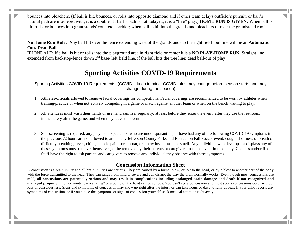bounces into bleachers. (If ball is hit, bounces, or rolls into opposite diamond and if other team delays outfield's pursuit, or ball's natural path are interfered with, it is a double. If ball's path is not delayed, it is a "live" play.) **HOME RUN IS GIVEN:** When ball is hit, rolls, or bounces into grandstands' concrete corridor; when ball is hit into the grandstand bleachers or over the grandstand roof.

**No Home Run Rule:** Any ball hit over the fence extending west of the grandstands to the right field foul line will be an **Automatic Out/ Dead Ball.**

IRIONDALE: If a ball is hit or rolls into the playground area in right field or center it is a **NO PLAY-HOME RUN**. Straight line extended from backstop-fence down  $3<sup>rd</sup>$  base/ left field line, if the ball hits the tree line; dead ball/out of play

## **Sporting Activities COVID-19 Requirements**

Sporting Activities COVID-19 Requirements. (COVID – keep in mind; COVID rules may change before season starts and may change during the season)

- 1. Athletes/officials allowed to remove facial coverings for competitions. Facial coverings are recommended to be worn by athletes when training/practice or when not actively competing in a game or match against another team or when on the bench waiting to play.
- 2. All attendees must wash their hands or use hand sanitizer regularly; at least before they enter the event, after they use the restroom, immediately after the game, and when they leave the event.
- 3. Self-screening is required: any players or spectators, who are under quarantine, or have had any of the following COVID-19 symptoms in the previous 72 hours are not allowed to attend any Jefferson County Parks and Recreation Fall Soccer event: cough, shortness of breath or difficulty breathing, fever, chills, muscle pain, sore throat, or a new loss of taste or smell. Any individual who develops or displays any of these symptoms must remove themselves, or be removed by their parents or caregivers from the event immediately. Coaches and/or Rec Staff have the right to ask parents and caregivers to remove any individual they observe with these symptoms.

## **Concussion Information Sheet**

A concussion is a brain injury and all brain injuries are serious. They are caused by a bump, blow, or jolt to the head, or by a blow to another part of the body with the force transmitted to the head. They can range from mild to severe and can disrupt the way the brain normally works. Even though most concussions are mild, **all concussions are potentially serious and may result in complications including prolonged brain damage and death if not recognized and managed properly.** In other words, even a "ding" or a bump on the head can be serious. You can't see a concussion and most sports concussions occur without loss of consciousness. Signs and symptoms of concussion may show up right after the injury or can take hours or days to fully appear. If your child reports any symptoms of concussion, or if you notice the symptoms or signs of concussion yourself, seek medical attention right away.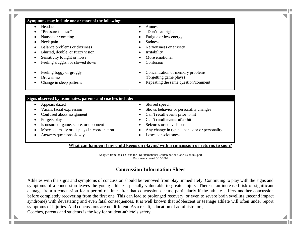| Headaches                                                                           | Amnesia<br>٠                                                      |
|-------------------------------------------------------------------------------------|-------------------------------------------------------------------|
| "Pressure in head"                                                                  | "Don't feel right"                                                |
| Nausea or vomiting                                                                  | Fatigue or low energy                                             |
| Neck pain                                                                           | <b>Sadness</b>                                                    |
| Balance problems or dizziness                                                       | Nervousness or anxiety                                            |
| Blurred, double, or fuzzy vision                                                    | Irritability                                                      |
| Sensitivity to light or noise                                                       | More emotional                                                    |
| Feeling sluggish or slowed down                                                     | Confusion                                                         |
| Feeling foggy or groggy                                                             | Concentration or memory problems                                  |
| Drowsiness                                                                          | (forgetting game plays)                                           |
| Change in sleep patterns                                                            | Repeating the same question/comment                               |
|                                                                                     |                                                                   |
|                                                                                     |                                                                   |
| Signs observed by teammates, parents and coaches include:                           | ٠                                                                 |
| Appears dazed                                                                       | Slurred speech                                                    |
| Vacant facial expression                                                            | Shows behavior or personality changes                             |
| Confused about assignment                                                           | Can't recall events prior to hit<br>Can't recall events after hit |
| Forgets plays                                                                       | Seizures or convulsions                                           |
| Is unsure of game, score, or opponent<br>Moves clumsily or displays in-coordination | Any change in typical behavior or personality                     |

**What can happen if my child keeps on playing with a concussion or returns to soon?**

Adapted from the CDC and the 3rd International Conference on Concussion in Sport Document created 6/15/2009

## **Concussion Information Sheet**

Athletes with the signs and symptoms of concussion should be removed from play immediately. Continuing to play with the signs and symptoms of a concussion leaves the young athlete especially vulnerable to greater injury. There is an increased risk of significant damage from a concussion for a period of time after that concussion occurs, particularly if the athlete suffers another concussion before completely recovering from the first one. This can lead to prolonged recovery, or even to severe brain swelling (second impact syndrome) with devastating and even fatal consequences. It is well known that adolescent or teenage athlete will often under report symptoms of injuries. And concussions are no different. As a result, education of administrators,

Coaches, parents and students is the key for student-athlete's safety.